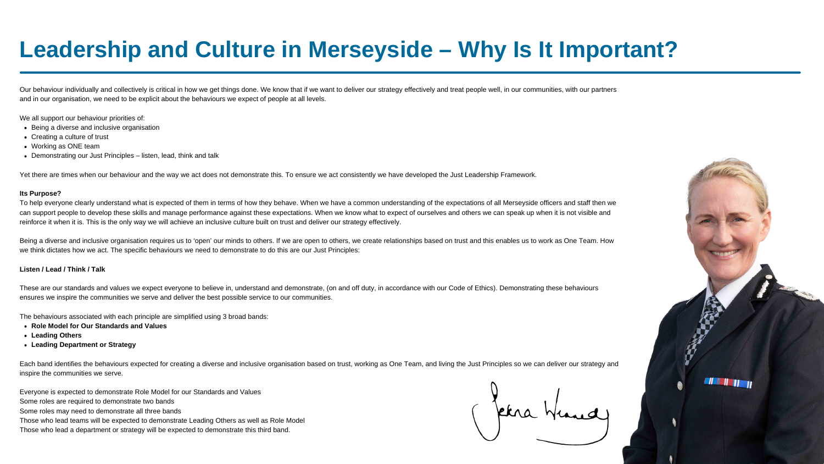# **Leadership and Culture in Merseyside – Why Is It Important?**

- **Role Model for Our Standards and Values**
- **Leading Others**
- **Leading Department or Strategy**

Our behaviour individually and collectively is critical in how we get things done. We know that if we want to deliver our strategy effectively and treat people well, in our communities, with our partners and in our organisation, we need to be explicit about the behaviours we expect of people at all levels.

We all support our behaviour priorities of:

- Being a diverse and inclusive organisation
- Creating a culture of trust
- Working as ONE team
- Demonstrating our Just Principles listen, lead, think and talk

Yet there are times when our behaviour and the way we act does not demonstrate this. To ensure we act consistently we have developed the Just Leadership Framework.

To help everyone clearly understand what is expected of them in terms of how they behave. When we have a common understanding of the expectations of all Merseyside officers and staff then we can support people to develop these skills and manage performance against these expectations. When we know what to expect of ourselves and others we can speak up when it is not visible and reinforce it when it is. This is the only way we will achieve an inclusive culture built on trust and deliver our strategy effectively.

### **Its Purpose?**

Being a diverse and inclusive organisation requires us to 'open' our minds to others. If we are open to others, we create relationships based on trust and this enables us to work as One Team. How we think dictates how we act. The specific behaviours we need to demonstrate to do this are our Just Principles:

### **Listen / Lead / Think / Talk**

These are our standards and values we expect everyone to believe in, understand and demonstrate, (on and off duty, in accordance with our Code of Ethics). Demonstrating these behaviours ensures we inspire the communities we serve and deliver the best possible service to our communities.

The behaviours associated with each principle are simplified using 3 broad bands:

Each band identifies the behaviours expected for creating a diverse and inclusive organisation based on trust, working as One Team, and living the Just Principles so we can deliver our strategy and inspire the communities we serve.

Everyone is expected to demonstrate Role Model for our Standards and Values

Some roles are required to demonstrate two bands

Some roles may need to demonstrate all three bands

Those who lead teams will be expected to demonstrate Leading Others as well as Role Model

Those who lead a department or strategy will be expected to demonstrate this third band.

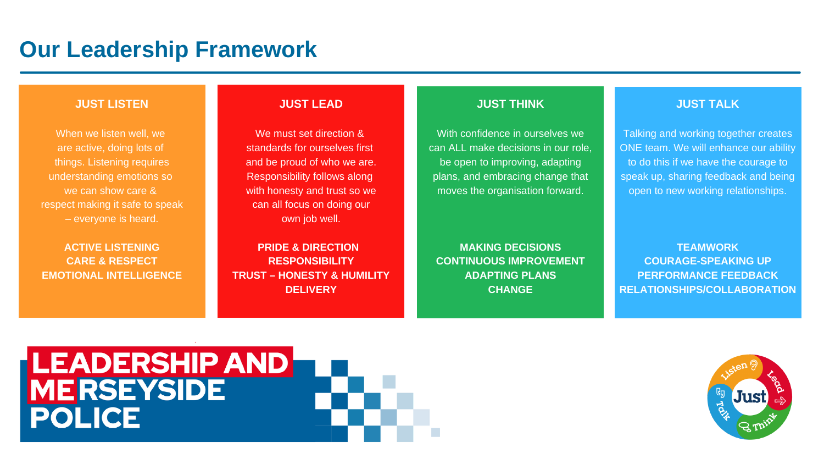# **Our Leadership Framework**

### **JUST LISTEN**

When we listen well, we are active, doing lots of things. Listening requires understanding emotions so we can show care & respect making it safe to speak – everyone is heard.

We must set direction & standards for ourselves first and be proud of who we are. Responsibility follows along with honesty and trust so we can all focus on doing our own job well.

**ACTIVE LISTENING CARE & RESPECT EMOTIONAL INTELLIGENCE**

### **JUST LEAD**

**PRIDE & DIRECTION RESPONSIBILITY TRUST – HONESTY & HUMILITY DELIVERY**

### **JUST THINK**

With confidence in ourselves we can ALL make decisions in our role, be open to improving, adapting plans, and embracing change that moves the organisation forward.

**MAKING DECISIONS CONTINUOUS IMPROVEMENT ADAPTING PLANS CHANGE**

# LEADERSHIP AND<br>MERSEYSIDE<br>POLICE

### **JUST TALK**

Talking and working together creates ONE team. We will enhance our ability to do this if we have the courage to speak up, sharing feedback and being open to new working relationships.

**TEAMWORK COURAGE-SPEAKING UP PERFORMANCE FEEDBACK RELATIONSHIPS/COLLABORATION**

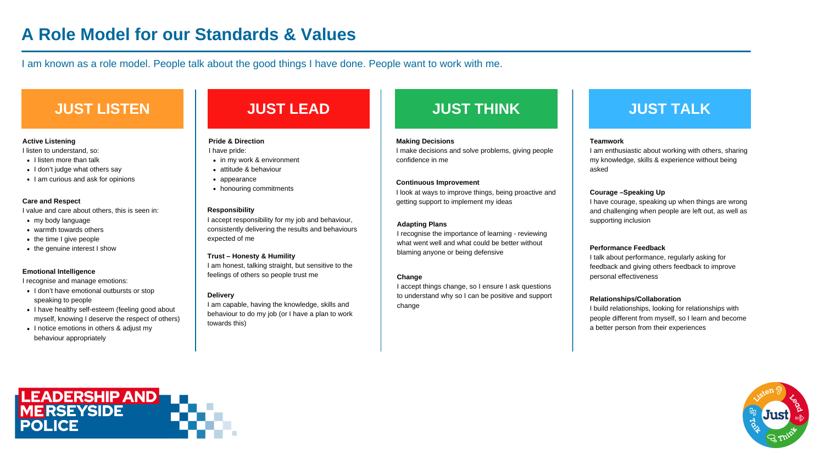# **A Role Model for our Standards & Values**

I am known as a role model. People talk about the good things I have done. People want to work with me.

## **JUST LISTEN JUST LEAD JUST THINK JUST TALK**

### **Teamwork**

I am enthusiastic about working with others, sharing my knowledge, skills & experience without being asked

### **Courage –Speaking Up**

I have courage, speaking up when things are wrong and challenging when people are left out, as well as supporting inclusion

### **Performance Feedback**

I talk about performance, regularly asking for feedback and giving others feedback to improve personal effectiveness

### **Relationships/Collaboration**

- I don't have emotional outbursts or stop speaking to people
- I have healthy self-esteem (feeling good about myself, knowing I deserve the respect of others)
- I notice emotions in others & adjust my behaviour appropriately

I build relationships, looking for relationships with people different from myself, so I learn and become a better person from their experiences



### **Active Listening**

I listen to understand, so:

- $\bullet$  I listen more than talk
- I don't judge what others say
- I am curious and ask for opinions

### **Care and Respect**

I value and care about others, this is seen in:

- my body language
- warmth towards others
- the time I give people
- the genuine interest I show

### **Emotional Intelligence**

I recognise and manage emotions:

### **Pride & Direction**

I have pride:

- in my work & environment
- attitude & behaviour
- appearance
- honouring commitments

### **Responsibility**

I accept responsibility for my job and behaviour, consistently delivering the results and behaviours expected of me

### **Trust – Honesty & Humility**

I am honest, talking straight, but sensitive to the feelings of others so people trust me

### **Delivery**

I am capable, having the knowledge, skills and behaviour to do my job (or I have a plan to work towards this)

### **Making Decisions**

I make decisions and solve problems, giving people confidence in me

### **Continuous Improvement**

I look at ways to improve things, being proactive and getting support to implement my ideas

### **Adapting Plans**

I recognise the importance of learning - reviewing what went well and what could be better without blaming anyone or being defensive

### **Change**

I accept things change, so I ensure I ask questions to understand why so I can be positive and support change

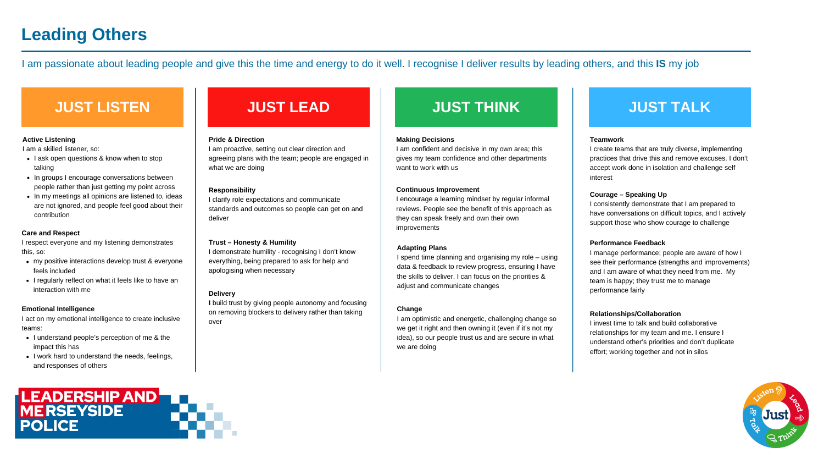# **Leading Others**

I am passionate about leading people and give this the time and energy to do it well. I recognise I deliver results by leading others, and this **IS** my job

# **JUST LISTEN JUST LEAD JUST THINK JUST TALK**

### **Teamwork**

I create teams that are truly diverse, implementing practices that drive this and remove excuses. I don't accept work done in isolation and challenge self interest

### **Courage – Speaking Up**

I consistently demonstrate that I am prepared to have conversations on difficult topics, and I actively support those who show courage to challenge

### **Performance Feedback**

- I ask open questions & know when to stop talking
- In groups I encourage conversations between people rather than just getting my point across
- In my meetings all opinions are listened to, ideas are not ignored, and people feel good about their contribution

I manage performance; people are aware of how I see their performance (strengths and improvements) and I am aware of what they need from me. My team is happy; they trust me to manage performance fairly

### **Relationships/Collaboration**

- I understand people's perception of me & the impact this has
- I work hard to understand the needs, feelings, and responses of others



I invest time to talk and build collaborative relationships for my team and me. I ensure I understand other's priorities and don't duplicate effort; working together and not in silos



### **Active Listening**

I am a skilled listener, so:

- my positive interactions develop trust & everyone feels included
- I regularly reflect on what it feels like to have an interaction with me

### **Care and Respect**

I respect everyone and my listening demonstrates this, so:

### **Emotional Intelligence**

I act on my emotional intelligence to create inclusive teams:

### **Pride & Direction**

I am proactive, setting out clear direction and agreeing plans with the team; people are engaged in what we are doing

### **Responsibility**

I clarify role expectations and communicate standards and outcomes so people can get on and deliver

### **Trust – Honesty & Humility**

I demonstrate humility - recognising I don't know everything, being prepared to ask for help and apologising when necessary

### **Delivery**

**I** build trust by giving people autonomy and focusing on removing blockers to delivery rather than taking over

### **Making Decisions**

I am confident and decisive in my own area; this gives my team confidence and other departments want to work with us

### **Continuous Improvement**

I encourage a learning mindset by regular informal reviews. People see the benefit of this approach as they can speak freely and own their own improvements

### **Adapting Plans**

I spend time planning and organising my role – using data & feedback to review progress, ensuring I have the skills to deliver. I can focus on the priorities & adjust and communicate changes

### **Change**

I am optimistic and energetic, challenging change so we get it right and then owning it (even if it's not my idea), so our people trust us and are secure in what we are doing